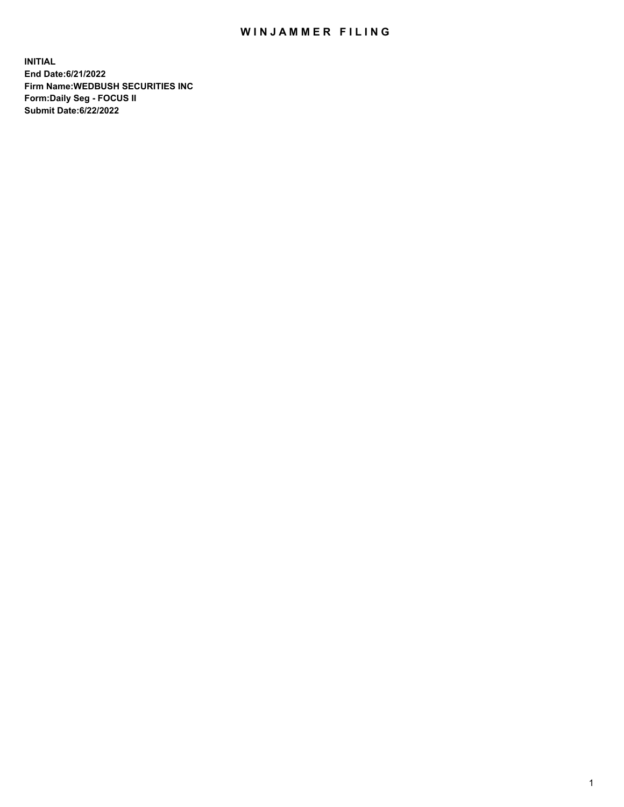## WIN JAMMER FILING

**INITIAL End Date:6/21/2022 Firm Name:WEDBUSH SECURITIES INC Form:Daily Seg - FOCUS II Submit Date:6/22/2022**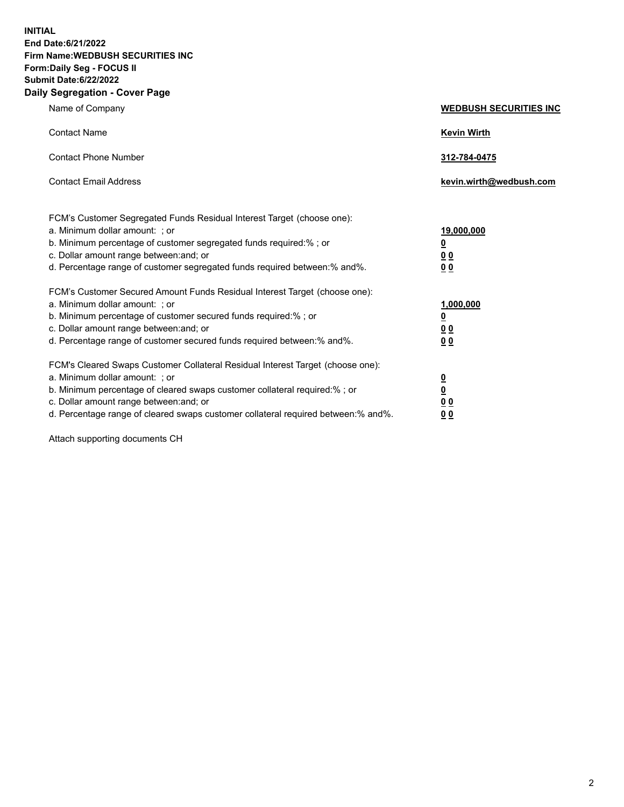**INITIAL End Date:6/21/2022 Firm Name:WEDBUSH SECURITIES INC Form:Daily Seg - FOCUS II Submit Date:6/22/2022 Daily Segregation - Cover Page**

| Name of Company                                                                                                                                                                                                                                                                                         | <b>WEDBUSH SECURITIES INC</b>                                               |
|---------------------------------------------------------------------------------------------------------------------------------------------------------------------------------------------------------------------------------------------------------------------------------------------------------|-----------------------------------------------------------------------------|
| <b>Contact Name</b>                                                                                                                                                                                                                                                                                     | <b>Kevin Wirth</b>                                                          |
| <b>Contact Phone Number</b>                                                                                                                                                                                                                                                                             | 312-784-0475                                                                |
| <b>Contact Email Address</b>                                                                                                                                                                                                                                                                            | kevin.wirth@wedbush.com                                                     |
| FCM's Customer Segregated Funds Residual Interest Target (choose one):<br>a. Minimum dollar amount: : or<br>b. Minimum percentage of customer segregated funds required:%; or<br>c. Dollar amount range between: and; or<br>d. Percentage range of customer segregated funds required between: % and %. | <u>19,000,000</u><br>$\overline{\mathbf{0}}$<br><u>00</u><br>0 <sub>0</sub> |
| FCM's Customer Secured Amount Funds Residual Interest Target (choose one):<br>a. Minimum dollar amount: ; or<br>b. Minimum percentage of customer secured funds required:%; or<br>c. Dollar amount range between: and; or<br>d. Percentage range of customer secured funds required between:% and%.     | 1,000,000<br>$\overline{\mathbf{0}}$<br>0 <sub>0</sub><br>0 <sub>0</sub>    |
| FCM's Cleared Swaps Customer Collateral Residual Interest Target (choose one):<br>a. Minimum dollar amount: ; or<br>b. Minimum percentage of cleared swaps customer collateral required:% ; or<br>c. Dollar amount range between: and; or                                                               | $\overline{\mathbf{0}}$<br>$\overline{\mathbf{0}}$<br>0 <sub>0</sub>        |

d. Percentage range of cleared swaps customer collateral required between:% and%. **0 0**

Attach supporting documents CH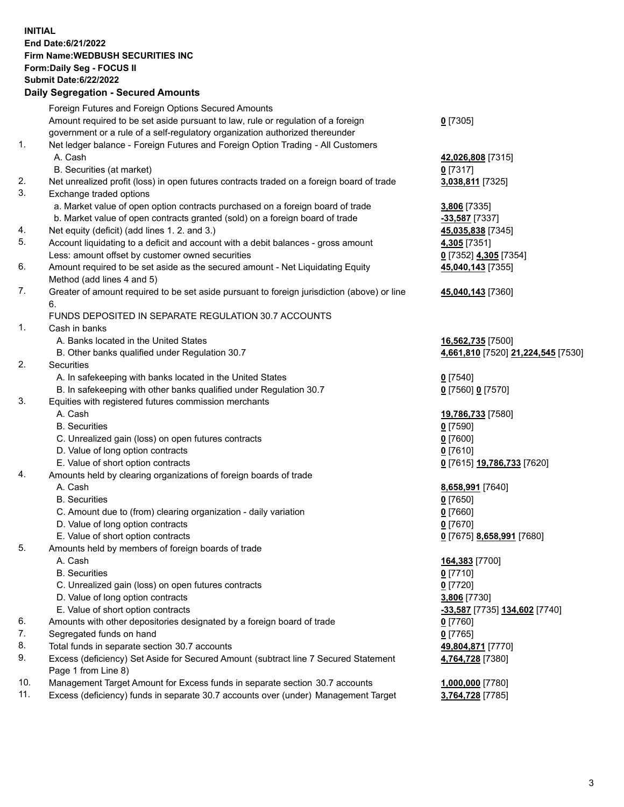**INITIAL End Date:6/21/2022 Firm Name:WEDBUSH SECURITIES INC Form:Daily Seg - FOCUS II Submit Date:6/22/2022 Daily Segregation - Secured Amounts**

|     | Daily Ocglegation - Occuled Anioants                                                        |                                    |
|-----|---------------------------------------------------------------------------------------------|------------------------------------|
|     | Foreign Futures and Foreign Options Secured Amounts                                         |                                    |
|     | Amount required to be set aside pursuant to law, rule or regulation of a foreign            | $0$ [7305]                         |
|     | government or a rule of a self-regulatory organization authorized thereunder                |                                    |
| 1.  | Net ledger balance - Foreign Futures and Foreign Option Trading - All Customers             |                                    |
|     | A. Cash                                                                                     | 42,026,808 [7315]                  |
|     | B. Securities (at market)                                                                   | $0$ [7317]                         |
| 2.  | Net unrealized profit (loss) in open futures contracts traded on a foreign board of trade   | 3,038,811 [7325]                   |
| 3.  | Exchange traded options                                                                     |                                    |
|     | a. Market value of open option contracts purchased on a foreign board of trade              | 3,806 [7335]                       |
|     | b. Market value of open contracts granted (sold) on a foreign board of trade                | $-33,587$ [7337]                   |
| 4.  | Net equity (deficit) (add lines 1. 2. and 3.)                                               | 45,035,838 [7345]                  |
| 5.  | Account liquidating to a deficit and account with a debit balances - gross amount           | 4,305 [7351]                       |
|     | Less: amount offset by customer owned securities                                            | 0 [7352] 4,305 [7354]              |
| 6.  | Amount required to be set aside as the secured amount - Net Liquidating Equity              | 45,040,143 [7355]                  |
|     | Method (add lines 4 and 5)                                                                  |                                    |
| 7.  | Greater of amount required to be set aside pursuant to foreign jurisdiction (above) or line | 45,040,143 [7360]                  |
|     | 6.<br>FUNDS DEPOSITED IN SEPARATE REGULATION 30.7 ACCOUNTS                                  |                                    |
| 1.  | Cash in banks                                                                               |                                    |
|     | A. Banks located in the United States                                                       | 16,562,735 [7500]                  |
|     | B. Other banks qualified under Regulation 30.7                                              | 4,661,810 [7520] 21,224,545 [7530] |
| 2.  | Securities                                                                                  |                                    |
|     | A. In safekeeping with banks located in the United States                                   | $0$ [7540]                         |
|     | B. In safekeeping with other banks qualified under Regulation 30.7                          | 0 [7560] 0 [7570]                  |
| 3.  | Equities with registered futures commission merchants                                       |                                    |
|     | A. Cash                                                                                     | 19,786,733 [7580]                  |
|     | <b>B.</b> Securities                                                                        | $0$ [7590]                         |
|     | C. Unrealized gain (loss) on open futures contracts                                         | $0$ [7600]                         |
|     | D. Value of long option contracts                                                           | $0$ [7610]                         |
|     | E. Value of short option contracts                                                          | 0 [7615] 19,786,733 [7620]         |
| 4.  | Amounts held by clearing organizations of foreign boards of trade                           |                                    |
|     | A. Cash                                                                                     | 8,658,991 [7640]                   |
|     | <b>B.</b> Securities                                                                        | $0$ [7650]                         |
|     | C. Amount due to (from) clearing organization - daily variation                             | $0$ [7660]                         |
|     | D. Value of long option contracts                                                           | $0$ [7670]                         |
|     | E. Value of short option contracts                                                          | 0 [7675] 8,658,991 [7680]          |
| 5.  | Amounts held by members of foreign boards of trade                                          |                                    |
|     | A. Cash                                                                                     | 164,383 [7700]                     |
|     | <b>B.</b> Securities                                                                        | <u>0</u> [7710]                    |
|     | C. Unrealized gain (loss) on open futures contracts                                         | <u>0</u> [7720]                    |
|     | D. Value of long option contracts                                                           | 3,806 [7730]                       |
|     | E. Value of short option contracts                                                          | -33,587 [7735] 134,602 [7740]      |
| 6.  | Amounts with other depositories designated by a foreign board of trade                      | 0 [7760]                           |
| 7.  | Segregated funds on hand                                                                    | $0$ [7765]                         |
| 8.  | Total funds in separate section 30.7 accounts                                               | 49,804,871 [7770]                  |
| 9.  | Excess (deficiency) Set Aside for Secured Amount (subtract line 7 Secured Statement         | 4,764,728 [7380]                   |
|     | Page 1 from Line 8)                                                                         |                                    |
| 10. | Management Target Amount for Excess funds in separate section 30.7 accounts                 | 1,000,000 [7780]                   |
| 11. | Excess (deficiency) funds in separate 30.7 accounts over (under) Management Target          | 3,764,728 [7785]                   |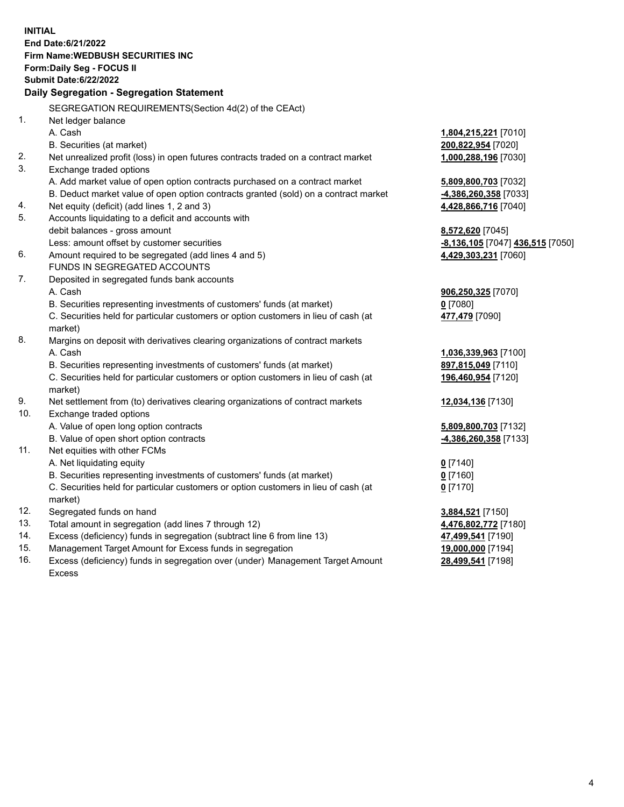|                | <b>INITIAL</b>                                                                      |                                  |
|----------------|-------------------------------------------------------------------------------------|----------------------------------|
|                | End Date: 6/21/2022                                                                 |                                  |
|                | <b>Firm Name: WEDBUSH SECURITIES INC</b>                                            |                                  |
|                | Form: Daily Seg - FOCUS II                                                          |                                  |
|                | <b>Submit Date:6/22/2022</b>                                                        |                                  |
|                | Daily Segregation - Segregation Statement                                           |                                  |
|                | SEGREGATION REQUIREMENTS(Section 4d(2) of the CEAct)                                |                                  |
| 1 <sub>1</sub> | Net ledger balance                                                                  |                                  |
|                | A. Cash                                                                             | 1,804,215,221 [7010]             |
|                | B. Securities (at market)                                                           | 200,822,954 [7020]               |
| 2.             | Net unrealized profit (loss) in open futures contracts traded on a contract market  | 1,000,288,196 [7030]             |
| 3.             | Exchange traded options                                                             |                                  |
|                | A. Add market value of open option contracts purchased on a contract market         | 5,809,800,703 [7032]             |
|                | B. Deduct market value of open option contracts granted (sold) on a contract market | -4,386,260,358 [7033]            |
| 4.             | Net equity (deficit) (add lines 1, 2 and 3)                                         | 4,428,866,716 [7040]             |
| 5.             | Accounts liquidating to a deficit and accounts with                                 |                                  |
|                | debit balances - gross amount                                                       | 8,572,620 [7045]                 |
|                | Less: amount offset by customer securities                                          | -8,136,105 [7047] 436,515 [7050] |
| 6.             | Amount required to be segregated (add lines 4 and 5)                                | 4,429,303,231 [7060]             |
|                | FUNDS IN SEGREGATED ACCOUNTS                                                        |                                  |
| 7.             | Deposited in segregated funds bank accounts                                         |                                  |
|                | A. Cash                                                                             | 906,250,325 [7070]               |
|                | B. Securities representing investments of customers' funds (at market)              | $0$ [7080]                       |
|                | C. Securities held for particular customers or option customers in lieu of cash (at | 477,479 [7090]                   |
|                | market)                                                                             |                                  |
| 8.             | Margins on deposit with derivatives clearing organizations of contract markets      |                                  |
|                | A. Cash                                                                             | 1,036,339,963 [7100]             |
|                | B. Securities representing investments of customers' funds (at market)              | 897,815,049 [7110]               |
|                | C. Securities held for particular customers or option customers in lieu of cash (at | 196,460,954 [7120]               |
|                | market)                                                                             |                                  |
| 9.             | Net settlement from (to) derivatives clearing organizations of contract markets     | 12,034,136 [7130]                |
| 10.            | Exchange traded options                                                             |                                  |
|                | A. Value of open long option contracts                                              | 5,809,800,703 [7132]             |
|                | B. Value of open short option contracts                                             | -4,386,260,358 [7133]            |
| 11.            | Net equities with other FCMs                                                        |                                  |
|                | A. Net liquidating equity                                                           | $0$ [7140]                       |
|                | B. Securities representing investments of customers' funds (at market)              | $0$ [7160]                       |
|                | C. Securities held for particular customers or option customers in lieu of cash (at | $0$ [7170]                       |
|                | market)                                                                             |                                  |
| 12.            | Segregated funds on hand                                                            | 3,884,521 [7150]                 |
| 13.            | Total amount in segregation (add lines 7 through 12)                                | 4,476,802,772 [7180]             |
| 14.            | Excess (deficiency) funds in segregation (subtract line 6 from line 13)             | 47,499,541 [7190]                |
| 15.            | Management Target Amount for Excess funds in segregation                            | 19,000,000 [7194]                |
| 16.            | Excess (deficiency) funds in segregation over (under) Management Target Amount      | 28,499,541 [7198]                |

16. Excess (deficiency) funds in segregation over (under) Management Target Amount Excess